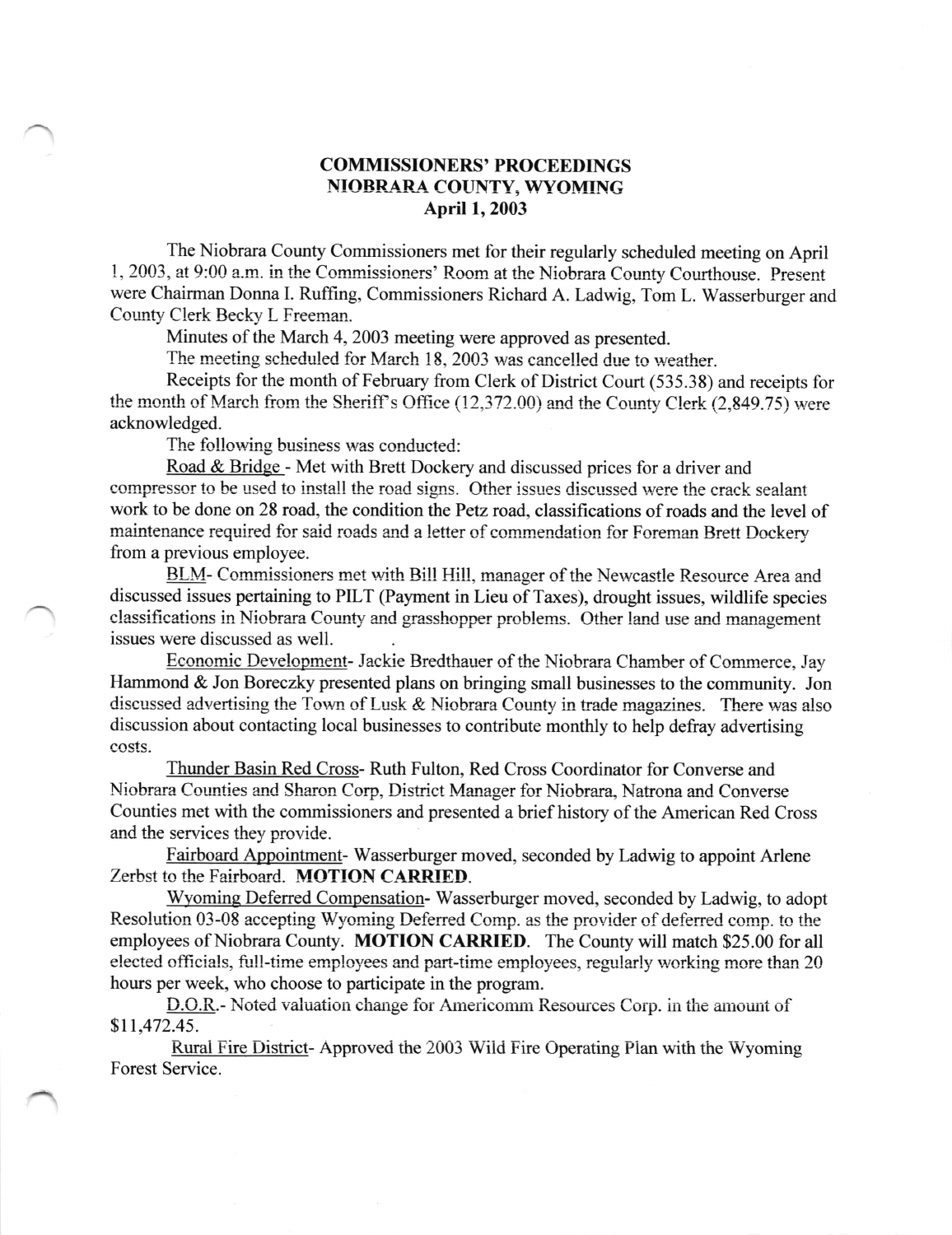## COMMISSIONERS' PROCEEDINGS NIOBRARA COUNTY, WYOMING April 1,2003

The Niobrara County Commissioners met for their regularly scheduled meeting on April 1, 2003, at 9:00 a.m. in the Commissioners' Room at the Niobrara County Courthouse. Present were Chairman Donna I. Ruffing, Commissioners Richard A. Ladwig, Tom L. Wasserburger and County Clerk Becky L Freeman.

Minutes of the March 4,2003 meeting were approved as presented.

The meeting scheduled for March 18, 2003 was cancelled due to weather.

Receipts for the month of February from Clerk of District Court (535.38) and receipts for the month of March from the Sheriff's Office  $(12,372.00)$  and the County Clerk  $(2.849.75)$  were acknowledged.

The following business was conducted:

Road & Bridge - Met with Brett Dockery and discussed prices for a driver and compressor to be used to install the road signs. Other issues discussed were the crack sealant work to be done on 28 road, the condition the Petz road, classifications of roads and the level of maintenance required for said roads and a letter of commendation for Foreman Brett Dockery from a previous employee.

BLM- Commissioners met with Bill Hill, manager of the Newcastle Resource Area and discussed issues pertaining to PILT (Payment in Lieu of Taxes), drought issues, wildlife species classifications in Niobrara County and grasshopper problems. Other land use and management issues were discussed as well.

Economic Development- Jackie Rredthauer of the Niobrara Chamber of Commerce, Jay Hammond & Jon Boreczky presented plans on bringing small businesses to the community. Jon discussed advertising the Town of Lusk  $&$  Niobrara County in trade magazines. There was also discussion about contacting local businesses to contribute monthly to help defray advertising costs.

Thunder Basin Red Cross- Ruth Fulton, Red Cross Coordinator for Converse and Niobrara Counties and Sharon Corp, District Manager for Niobrara, Natrona and Converse Counties met with the commissioners and presented a brief history of the American Red Cross and the services they provide.

Fairboard Appointment- Wasserburger moved, seconded by Ladwig to appoint Arlene Zerbst to the Fairboard. MOTION CARRIED.

Wyoming Deferred Compensation- Wasserburger moved, seconded by Ladwig, to adopt Resolution 03-08 accepting Wyoming Deferred Comp. as the provider of deferred comp. to the employees of Niobrara County. MOTION CARRIED. The County will match \$25.00 for all elected officials, full-time employees and part-time employees, regularly working more than 20 hours per week, who choose to participate in the program.

D.O.R.- Noted valuation change for Americomm Resources Corp. in the amount of \$11,472.45.

Rural Fire District- Approved the 2003 Wild Fire Operating Plan with the Wyoming Forest Service.